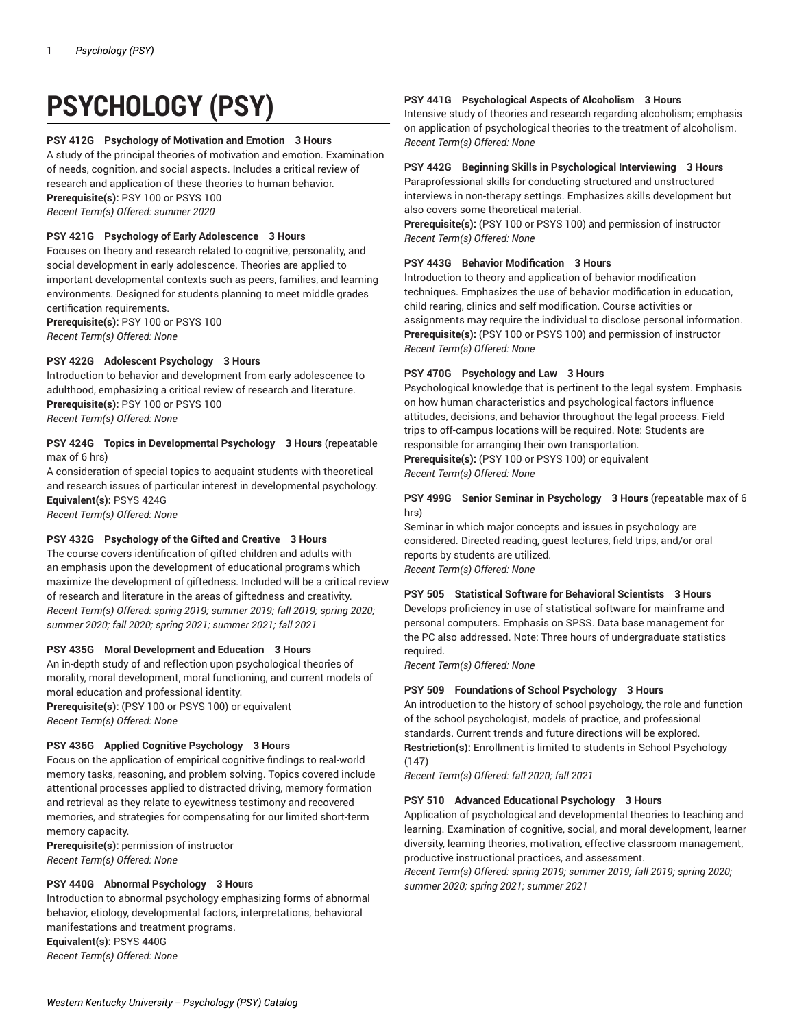# **PSYCHOLOGY (PSY)**

#### **PSY 412G Psychology of Motivation and Emotion 3 Hours**

A study of the principal theories of motivation and emotion. Examination of needs, cognition, and social aspects. Includes a critical review of research and application of these theories to human behavior. **Prerequisite(s):** PSY 100 or PSYS 100

*Recent Term(s) Offered: summer 2020*

#### **PSY 421G Psychology of Early Adolescence 3 Hours**

Focuses on theory and research related to cognitive, personality, and social development in early adolescence. Theories are applied to important developmental contexts such as peers, families, and learning environments. Designed for students planning to meet middle grades certification requirements.

**Prerequisite(s):** PSY 100 or PSYS 100 *Recent Term(s) Offered: None*

#### **PSY 422G Adolescent Psychology 3 Hours**

Introduction to behavior and development from early adolescence to adulthood, emphasizing a critical review of research and literature. **Prerequisite(s):** PSY 100 or PSYS 100 *Recent Term(s) Offered: None*

#### **PSY 424G Topics in Developmental Psychology 3 Hours** (repeatable max of 6 hrs)

A consideration of special topics to acquaint students with theoretical and research issues of particular interest in developmental psychology. **Equivalent(s):** PSYS 424G *Recent Term(s) Offered: None*

# **PSY 432G Psychology of the Gifted and Creative 3 Hours**

The course covers identification of gifted children and adults with an emphasis upon the development of educational programs which maximize the development of giftedness. Included will be a critical review of research and literature in the areas of giftedness and creativity. *Recent Term(s) Offered: spring 2019; summer 2019; fall 2019; spring 2020; summer 2020; fall 2020; spring 2021; summer 2021; fall 2021*

#### **PSY 435G Moral Development and Education 3 Hours**

An in-depth study of and reflection upon psychological theories of morality, moral development, moral functioning, and current models of moral education and professional identity.

**Prerequisite(s):** (PSY 100 or PSYS 100) or equivalent *Recent Term(s) Offered: None*

### **PSY 436G Applied Cognitive Psychology 3 Hours**

Focus on the application of empirical cognitive findings to real-world memory tasks, reasoning, and problem solving. Topics covered include attentional processes applied to distracted driving, memory formation and retrieval as they relate to eyewitness testimony and recovered memories, and strategies for compensating for our limited short-term memory capacity.

**Prerequisite(s):** permission of instructor *Recent Term(s) Offered: None*

# **PSY 440G Abnormal Psychology 3 Hours**

Introduction to abnormal psychology emphasizing forms of abnormal behavior, etiology, developmental factors, interpretations, behavioral manifestations and treatment programs.

**Equivalent(s):** PSYS 440G *Recent Term(s) Offered: None*

### **PSY 441G Psychological Aspects of Alcoholism 3 Hours**

Intensive study of theories and research regarding alcoholism; emphasis on application of psychological theories to the treatment of alcoholism. *Recent Term(s) Offered: None*

#### **PSY 442G Beginning Skills in Psychological Interviewing 3 Hours**

Paraprofessional skills for conducting structured and unstructured interviews in non-therapy settings. Emphasizes skills development but also covers some theoretical material.

**Prerequisite(s):** (PSY 100 or PSYS 100) and permission of instructor *Recent Term(s) Offered: None*

#### **PSY 443G Behavior Modification 3 Hours**

Introduction to theory and application of behavior modification techniques. Emphasizes the use of behavior modification in education, child rearing, clinics and self modification. Course activities or assignments may require the individual to disclose personal information. **Prerequisite(s):** (PSY 100 or PSYS 100) and permission of instructor *Recent Term(s) Offered: None*

#### **PSY 470G Psychology and Law 3 Hours**

Psychological knowledge that is pertinent to the legal system. Emphasis on how human characteristics and psychological factors influence attitudes, decisions, and behavior throughout the legal process. Field trips to off-campus locations will be required. Note: Students are responsible for arranging their own transportation. **Prerequisite(s):** (PSY 100 or PSYS 100) or equivalent

*Recent Term(s) Offered: None*

#### **PSY 499G Senior Seminar in Psychology 3 Hours** (repeatable max of 6 hrs)

Seminar in which major concepts and issues in psychology are considered. Directed reading, guest lectures, field trips, and/or oral reports by students are utilized. *Recent Term(s) Offered: None*

#### **PSY 505 Statistical Software for Behavioral Scientists 3 Hours**

Develops proficiency in use of statistical software for mainframe and personal computers. Emphasis on SPSS. Data base management for the PC also addressed. Note: Three hours of undergraduate statistics required.

*Recent Term(s) Offered: None*

### **PSY 509 Foundations of School Psychology 3 Hours**

An introduction to the history of school psychology, the role and function of the school psychologist, models of practice, and professional standards. Current trends and future directions will be explored. **Restriction(s):** Enrollment is limited to students in School Psychology (147)

*Recent Term(s) Offered: fall 2020; fall 2021*

#### **PSY 510 Advanced Educational Psychology 3 Hours**

Application of psychological and developmental theories to teaching and learning. Examination of cognitive, social, and moral development, learner diversity, learning theories, motivation, effective classroom management, productive instructional practices, and assessment.

*Recent Term(s) Offered: spring 2019; summer 2019; fall 2019; spring 2020; summer 2020; spring 2021; summer 2021*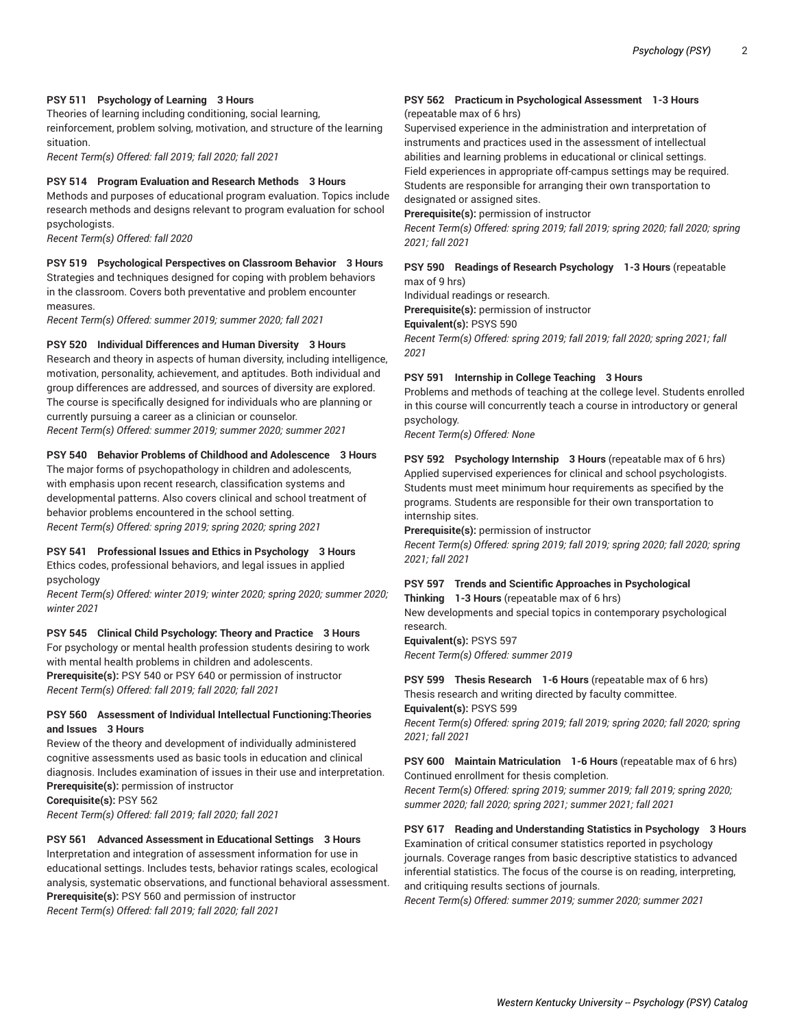#### **PSY 511 Psychology of Learning 3 Hours**

Theories of learning including conditioning, social learning, reinforcement, problem solving, motivation, and structure of the learning situation.

*Recent Term(s) Offered: fall 2019; fall 2020; fall 2021*

#### **PSY 514 Program Evaluation and Research Methods 3 Hours**

Methods and purposes of educational program evaluation. Topics include research methods and designs relevant to program evaluation for school psychologists.

*Recent Term(s) Offered: fall 2020*

#### **PSY 519 Psychological Perspectives on Classroom Behavior 3 Hours**

Strategies and techniques designed for coping with problem behaviors in the classroom. Covers both preventative and problem encounter measures.

*Recent Term(s) Offered: summer 2019; summer 2020; fall 2021*

#### **PSY 520 Individual Differences and Human Diversity 3 Hours**

Research and theory in aspects of human diversity, including intelligence, motivation, personality, achievement, and aptitudes. Both individual and group differences are addressed, and sources of diversity are explored. The course is specifically designed for individuals who are planning or currently pursuing a career as a clinician or counselor. *Recent Term(s) Offered: summer 2019; summer 2020; summer 2021*

#### **PSY 540 Behavior Problems of Childhood and Adolescence 3 Hours**

The major forms of psychopathology in children and adolescents, with emphasis upon recent research, classification systems and developmental patterns. Also covers clinical and school treatment of behavior problems encountered in the school setting. *Recent Term(s) Offered: spring 2019; spring 2020; spring 2021*

### **PSY 541 Professional Issues and Ethics in Psychology 3 Hours**

Ethics codes, professional behaviors, and legal issues in applied psychology

*Recent Term(s) Offered: winter 2019; winter 2020; spring 2020; summer 2020; winter 2021*

#### **PSY 545 Clinical Child Psychology: Theory and Practice 3 Hours**

For psychology or mental health profession students desiring to work with mental health problems in children and adolescents. **Prerequisite(s):** PSY 540 or PSY 640 or permission of instructor *Recent Term(s) Offered: fall 2019; fall 2020; fall 2021*

### **PSY 560 Assessment of Individual Intellectual Functioning:Theories and Issues 3 Hours**

Review of the theory and development of individually administered cognitive assessments used as basic tools in education and clinical diagnosis. Includes examination of issues in their use and interpretation. **Prerequisite(s):** permission of instructor

**Corequisite(s):** PSY 562

*Recent Term(s) Offered: fall 2019; fall 2020; fall 2021*

# **PSY 561 Advanced Assessment in Educational Settings 3 Hours** Interpretation and integration of assessment information for use in educational settings. Includes tests, behavior ratings scales, ecological analysis, systematic observations, and functional behavioral assessment. **Prerequisite(s):** PSY 560 and permission of instructor *Recent Term(s) Offered: fall 2019; fall 2020; fall 2021*

# **PSY 562 Practicum in Psychological Assessment 1-3 Hours**

# (repeatable max of 6 hrs)

Supervised experience in the administration and interpretation of instruments and practices used in the assessment of intellectual abilities and learning problems in educational or clinical settings. Field experiences in appropriate off-campus settings may be required. Students are responsible for arranging their own transportation to designated or assigned sites.

**Prerequisite(s):** permission of instructor

*Recent Term(s) Offered: spring 2019; fall 2019; spring 2020; fall 2020; spring 2021; fall 2021*

#### **PSY 590 Readings of Research Psychology 1-3 Hours** (repeatable max of 9 hrs)

Individual readings or research.

**Prerequisite(s):** permission of instructor

**Equivalent(s):** PSYS 590

*Recent Term(s) Offered: spring 2019; fall 2019; fall 2020; spring 2021; fall 2021*

#### **PSY 591 Internship in College Teaching 3 Hours**

Problems and methods of teaching at the college level. Students enrolled in this course will concurrently teach a course in introductory or general psychology.

*Recent Term(s) Offered: None*

**PSY 592 Psychology Internship 3 Hours** (repeatable max of 6 hrs) Applied supervised experiences for clinical and school psychologists. Students must meet minimum hour requirements as specified by the programs. Students are responsible for their own transportation to internship sites.

**Prerequisite(s):** permission of instructor

*Recent Term(s) Offered: spring 2019; fall 2019; spring 2020; fall 2020; spring 2021; fall 2021*

#### **PSY 597 Trends and Scientific Approaches in Psychological Thinking 1-3 Hours** (repeatable max of 6 hrs)

New developments and special topics in contemporary psychological research.

**Equivalent(s):** PSYS 597 *Recent Term(s) Offered: summer 2019*

**PSY 599 Thesis Research 1-6 Hours** (repeatable max of 6 hrs) Thesis research and writing directed by faculty committee.

**Equivalent(s):** PSYS 599 *Recent Term(s) Offered: spring 2019; fall 2019; spring 2020; fall 2020; spring 2021; fall 2021*

**PSY 600 Maintain Matriculation 1-6 Hours** (repeatable max of 6 hrs) Continued enrollment for thesis completion.

*Recent Term(s) Offered: spring 2019; summer 2019; fall 2019; spring 2020; summer 2020; fall 2020; spring 2021; summer 2021; fall 2021*

### **PSY 617 Reading and Understanding Statistics in Psychology 3 Hours** Examination of critical consumer statistics reported in psychology journals. Coverage ranges from basic descriptive statistics to advanced inferential statistics. The focus of the course is on reading, interpreting, and critiquing results sections of journals.

*Recent Term(s) Offered: summer 2019; summer 2020; summer 2021*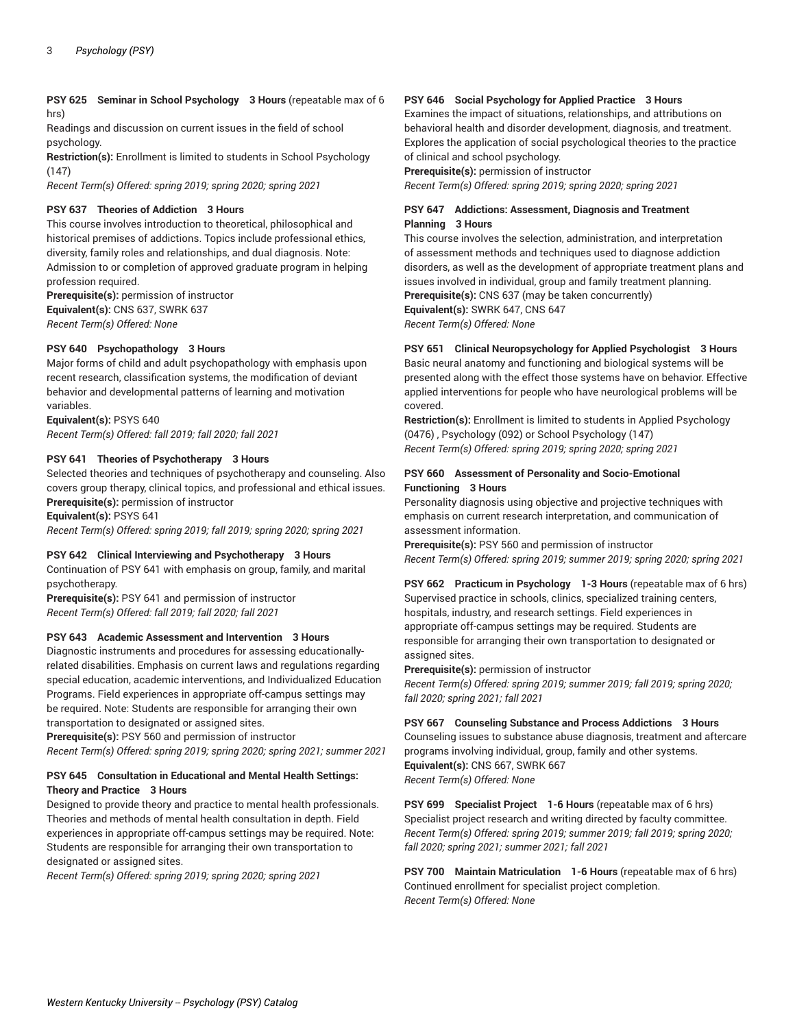**PSY 625 Seminar in School Psychology 3 Hours** (repeatable max of 6 hrs)

Readings and discussion on current issues in the field of school psychology.

**Restriction(s):** Enrollment is limited to students in School Psychology (147)

*Recent Term(s) Offered: spring 2019; spring 2020; spring 2021*

#### **PSY 637 Theories of Addiction 3 Hours**

This course involves introduction to theoretical, philosophical and historical premises of addictions. Topics include professional ethics, diversity, family roles and relationships, and dual diagnosis. Note: Admission to or completion of approved graduate program in helping profession required.

**Prerequisite(s):** permission of instructor **Equivalent(s):** CNS 637, SWRK 637 *Recent Term(s) Offered: None*

#### **PSY 640 Psychopathology 3 Hours**

Major forms of child and adult psychopathology with emphasis upon recent research, classification systems, the modification of deviant behavior and developmental patterns of learning and motivation variables.

**Equivalent(s):** PSYS 640 *Recent Term(s) Offered: fall 2019; fall 2020; fall 2021*

#### **PSY 641 Theories of Psychotherapy 3 Hours**

Selected theories and techniques of psychotherapy and counseling. Also covers group therapy, clinical topics, and professional and ethical issues. **Prerequisite(s):** permission of instructor

**Equivalent(s):** PSYS 641

*Recent Term(s) Offered: spring 2019; fall 2019; spring 2020; spring 2021*

#### **PSY 642 Clinical Interviewing and Psychotherapy 3 Hours**

Continuation of PSY 641 with emphasis on group, family, and marital psychotherapy.

**Prerequisite(s):** PSY 641 and permission of instructor *Recent Term(s) Offered: fall 2019; fall 2020; fall 2021*

## **PSY 643 Academic Assessment and Intervention 3 Hours**

Diagnostic instruments and procedures for assessing educationallyrelated disabilities. Emphasis on current laws and regulations regarding special education, academic interventions, and Individualized Education Programs. Field experiences in appropriate off-campus settings may be required. Note: Students are responsible for arranging their own transportation to designated or assigned sites.

**Prerequisite(s):** PSY 560 and permission of instructor *Recent Term(s) Offered: spring 2019; spring 2020; spring 2021; summer 2021*

#### **PSY 645 Consultation in Educational and Mental Health Settings: Theory and Practice 3 Hours**

Designed to provide theory and practice to mental health professionals. Theories and methods of mental health consultation in depth. Field experiences in appropriate off-campus settings may be required. Note: Students are responsible for arranging their own transportation to designated or assigned sites.

*Recent Term(s) Offered: spring 2019; spring 2020; spring 2021*

#### **PSY 646 Social Psychology for Applied Practice 3 Hours**

Examines the impact of situations, relationships, and attributions on behavioral health and disorder development, diagnosis, and treatment. Explores the application of social psychological theories to the practice of clinical and school psychology.

**Prerequisite(s):** permission of instructor *Recent Term(s) Offered: spring 2019; spring 2020; spring 2021*

#### **PSY 647 Addictions: Assessment, Diagnosis and Treatment Planning 3 Hours**

This course involves the selection, administration, and interpretation of assessment methods and techniques used to diagnose addiction disorders, as well as the development of appropriate treatment plans and issues involved in individual, group and family treatment planning. **Prerequisite(s):** CNS 637 (may be taken concurrently) **Equivalent(s):** SWRK 647, CNS 647 *Recent Term(s) Offered: None*

# **PSY 651 Clinical Neuropsychology for Applied Psychologist 3 Hours**

Basic neural anatomy and functioning and biological systems will be presented along with the effect those systems have on behavior. Effective applied interventions for people who have neurological problems will be covered.

**Restriction(s):** Enrollment is limited to students in Applied Psychology (0476) , Psychology (092) or School Psychology (147) *Recent Term(s) Offered: spring 2019; spring 2020; spring 2021*

#### **PSY 660 Assessment of Personality and Socio-Emotional Functioning 3 Hours**

Personality diagnosis using objective and projective techniques with emphasis on current research interpretation, and communication of assessment information.

**Prerequisite(s):** PSY 560 and permission of instructor *Recent Term(s) Offered: spring 2019; summer 2019; spring 2020; spring 2021*

**PSY 662 Practicum in Psychology 1-3 Hours** (repeatable max of 6 hrs) Supervised practice in schools, clinics, specialized training centers, hospitals, industry, and research settings. Field experiences in appropriate off-campus settings may be required. Students are responsible for arranging their own transportation to designated or assigned sites.

**Prerequisite(s):** permission of instructor

*Recent Term(s) Offered: spring 2019; summer 2019; fall 2019; spring 2020; fall 2020; spring 2021; fall 2021*

**PSY 667 Counseling Substance and Process Addictions 3 Hours** Counseling issues to substance abuse diagnosis, treatment and aftercare

programs involving individual, group, family and other systems. **Equivalent(s):** CNS 667, SWRK 667 *Recent Term(s) Offered: None*

**PSY 699 Specialist Project 1-6 Hours** (repeatable max of 6 hrs) Specialist project research and writing directed by faculty committee. *Recent Term(s) Offered: spring 2019; summer 2019; fall 2019; spring 2020; fall 2020; spring 2021; summer 2021; fall 2021*

**PSY 700 Maintain Matriculation 1-6 Hours** (repeatable max of 6 hrs) Continued enrollment for specialist project completion. *Recent Term(s) Offered: None*